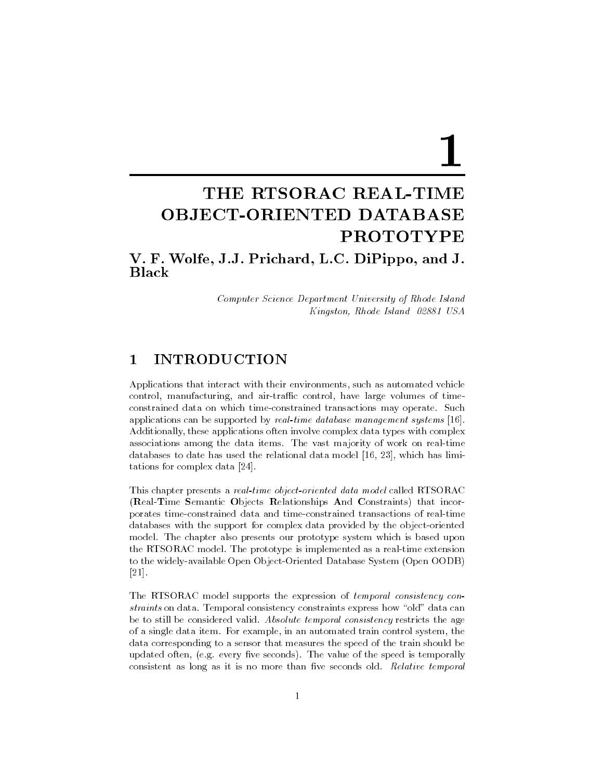# THE RTSORAC REAL-TIME OBJECT-ORIENTED DATABASE PROTOTYPE

V. F. Wolfe, J.J. Prichard, L.C. DiPippo, and J. **Black** 

> Computer Science Department University of Rhode Island Kingston, Rhode Island 02881 USA

#### 1 INTRODUCTION  $\mathbf 1$

Applications that interact with their environments, such as automated vehicle control, manufacturing, and air-traffic control, have large volumes of timeconstrained data on which time-constrained transactions may operate. Such applications can be supported by *real-time database management systems* [16]. Additionally, these applications often involve complex data types with complex associations among the data items. The vast majority of work on real-time databases to date has used the relational data model [16, 23], which has limitations for complex data [24].

This chapter presents a real-time object-oriented data model called RTSORAC (Real-Time Semantic Objects Relationships And Constraints) that incorporates time-constrained data and time-constrained transactions of real-time databases with the support for complex data provided by the object-oriented model. The chapter also presents our prototype system which is based upon the RTSORAC model. The prototype is implemented as a real-time extension to the widely-available Open Object-Oriented Database System (Open OODB) [21].

The RTSORAC model supports the expression of temporal consistency constraints on data. Temporal consistency constraints express how "old" data can be to still be considered valid. Absolute temporal consistency restricts the age of a single data item. For example, in an automated train control system, the data corresponding to a sensor that measures the speed of the train should be updated often, (e.g. every five seconds). The value of the speed is temporally consistent as long as it is no more than five seconds old. Relative temporal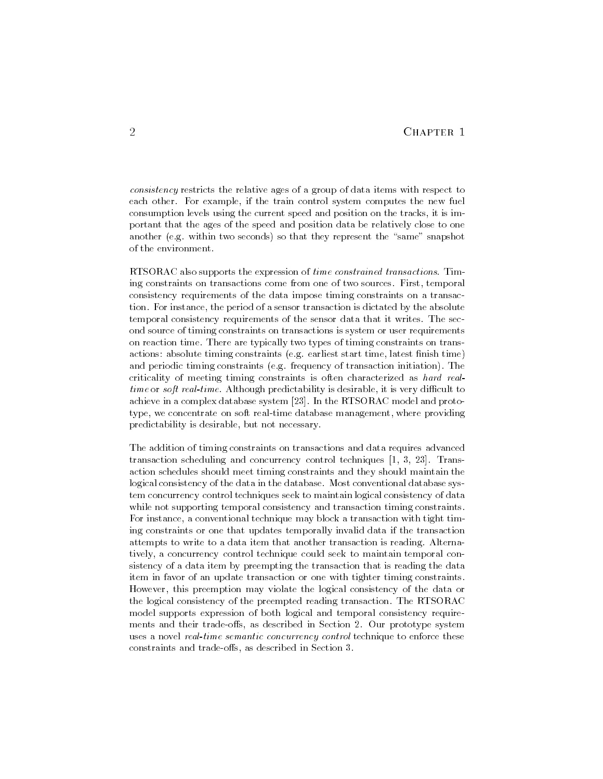consistency restricts the relative ages of a group of data items with respect to each other. For example, if the train control system computes the new fuel consumption levels using the current speed and position on the tracks, it is important that the ages of the speed and position data be relatively close to one another (e.g. within two seconds) so that they represent the "same" snapshot of the environment.

RTSORAC also supports the expression of time constrained transactions. Timing constraints on transactions come from one of two sources. First, temporal consistency requirements of the data impose timing constraints on a transaction. For instance, the period of a sensor transaction is dictated by the absolute temporal consistency requirements of the sensor data that it writes. The second source of timing constraints on transactions is system or user requirements on reaction time. There are typically two types of timing constraints on transactions: absolute timing constraints (e.g. earliest start time, latest finish time) and periodic timing constraints (e.g. frequency of transaction initiation). The criticality of meeting timing constraints is often characterized as hard real $time$  or soft real-time. Although predictability is desirable, it is very difficult to achieve in a complex database system [23]. In the RTSORAC model and prototype, we concentrate on soft real-time database management, where providing predictability is desirable, but not necessary.

The addition of timing constraints on transactions and data requires advanced transaction scheduling and concurrency control techniques [1, 3, 23]. Transaction schedules should meet timing constraints and they should maintain the logical consistency of the data in the database. Most conventional database system concurrency control techniques seek to maintain logical consistency of data while not supporting temporal consistency and transaction timing constraints. For instance, a conventional technique may block a transaction with tight timing constraints or one that updates temporally invalid data if the transaction attempts to write to a data item that another transaction is reading. Alternatively, a concurrency control technique could seek to maintain temporal consistency of a data item by preempting the transaction that is reading the data item in favor of an update transaction or one with tighter timing constraints. However, this preemption may violate the logical consistency of the data or the logical consistency of the preempted reading transaction. The RTSORAC model supports expression of both logical and temporal consistency require ments and their trade-offs, as described in Section 2. Our prototype system uses a novel real-time semantic concurrency control technique to enforce these constraints and trade-offs, as described in Section 3.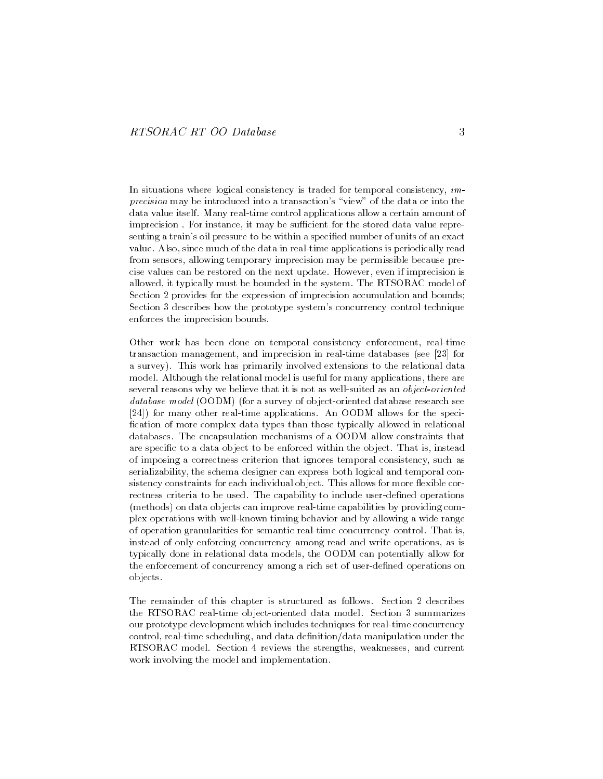In situations where logical consistency is traded for temporal consistency, imprecision may be introduced into a transaction's "view" of the data or into the data value itself. Many real-time control applications allow a certain amount of imprecision. For instance, it may be sufficient for the stored data value representing a train's oil pressure to be within a specied number of units of an exact value. Also, since much of the data in real-time applications is periodically read from sensors, allowing temporary imprecision may be permissible because precise values can be restored on the next update. However, even if imprecision is allowed, it typically must be bounded in the system. The RTSORAC model of Section 2 provides for the expression of imprecision accumulation and bounds; Section 3 describes how the prototype system's concurrency control technique enforces the imprecision bounds.

Other work has been done on temporal consistency enforcement, real-time transaction management, and imprecision in real-time databases (see [23] for a survey). This work has primarily involved extensions to the relational data model. Although the relational model is useful for many applications, there are several reasons why we believe that it is not as well-suited as an object-oriented database model (OODM) (for a survey of object-oriented database research see [24]) for many other real-time applications. An OODM allows for the speci fication of more complex data types than those typically allowed in relational databases. The encapsulation mechanisms of a OODM allow constraints that are specific to a data object to be enforced within the object. That is, instead of imposing a correctness criterion that ignores temporal consistency, such as serializability, the schema designer can express both logical and temporal consistency constraints for each individual object. This allows for more flexible correctness criteria to be used. The capability to include user-defined operations (methods) on data objects can improve real-time capabilities by providing complex operations with well-known timing behavior and by allowing a wide range of operation granularities for semantic real-time concurrency control. That is, instead of only enforcing concurrency among read and write operations, as is typically done in relational data models, the OODM can potentially allow for the enforcement of concurrency among a rich set of user-defined operations on objects.

The remainder of this chapter is structured as follows. Section 2 describes the RTSORAC real-time object-oriented data model. Section 3 summarizes our prototype development which includes techniques for real-time concurrency control, real-time scheduling, and data definition/data manipulation under the RTSORAC model. Section 4 reviews the strengths, weaknesses, and current work involving the model and implementation.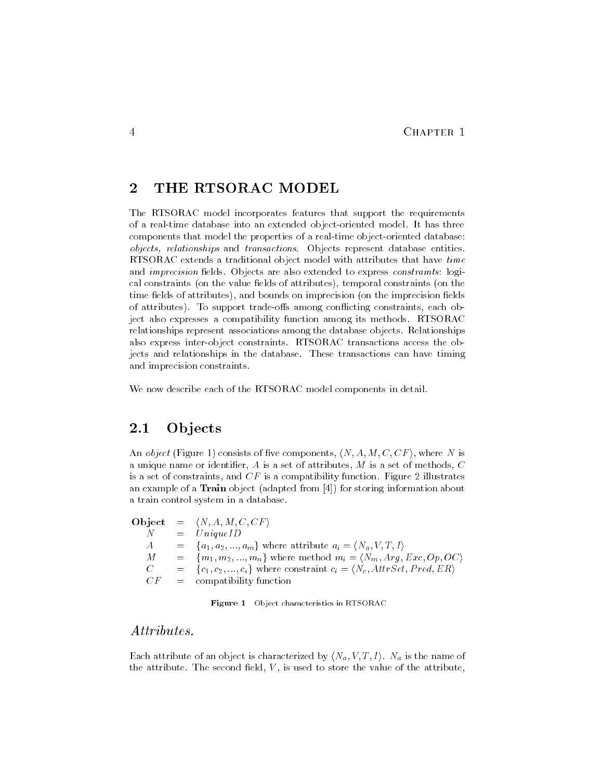#### 2 THE RTSORAC MODEL  $\bf{2}$

The RTSORAC model incorporates features that support the requirements of a real-time database into an extended object-oriented model. It has three components that model the properties of a real-time object-oriented database: objects, relationships and transactions. Objects represent database entities. RTSORAC extends a traditional object model with attributes that have time and *imprecision* fields. Objects are also extended to express *constraints*: logical constraints (on the value fields of attributes), temporal constraints (on the time fields of attributes), and bounds on imprecision (on the imprecision fields of attributes). To support trade-offs among conflicting constraints, each object also expresses a compatibility function among its methods. RTSORAC relationships represent associations among the database objects. Relationships also express inter-object constraints. RTSORAC transactions access the objects and relationships in the database. These transactions can have timing and imprecision constraints.

We now describe each of the RTSORAC model components in detail.

### 2.1 Ob jects

An object (Figure 1) consists of five components,  $\langle N, A, M, C, CF \rangle$ , where N is a unique name or identifier. A is a set of attributes, M is a set of methods,  $C$ is a set of constraints, and  $CF$  is a compatibility function. Figure 2 illustrates an example of a **Train** object (adapted from [4]) for storing information about a train control system in a database.

Object =  $\langle N, A, M, C, CF \rangle$  $N = UniquelD$  $A = \{a_1, a_2, ..., a_m\}$  where attribute  $a_i = \langle N_a, V, T, I \rangle$  $M = \{m_1, m_2, ..., m_n\}$  where method  $m_i = \langle N_m, Arg, Exc, Op, OC \rangle$  $C = \{c_1, c_2, ..., c_s\}$  where constraint  $c_i = \langle N_c, AttrSet, Pred, ER \rangle$  $CF$  $=$  compatibility function

Figure 1 Object characteristics in RTSORAC

#### Attributes.

Each attribute of an object is characterized by  $\langle N_a, V, T, I \rangle$ .  $N_a$  is the name of the attribute. The second field,  $V$ , is used to store the value of the attribute,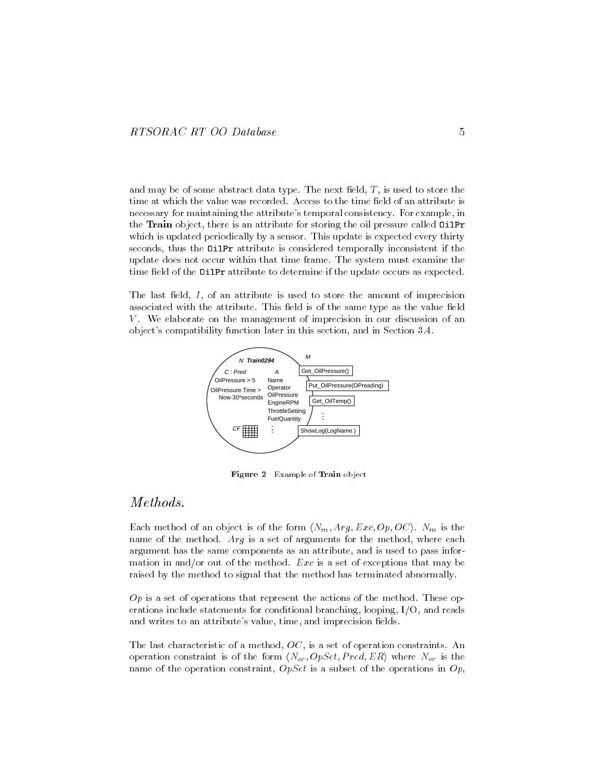and may be of some abstract data type. The next field,  $T$ , is used to store the time at which the value was recorded. Access to the time field of an attribute is necessary for maintaining the attribute's temporal consistency. For example, in the Train object, there is an attribute for storing the oil pressure called OilPr which is updated periodically by a sensor. This update is expected every thirty seconds, thus the OilPr attribute is considered temporally inconsistent if the update does not occur within that time frame. The system must examine the time field of the **OilPr** attribute to determine if the update occurs as expected.

The last field,  $I$ , of an attribute is used to store the amount of imprecision associated with the attribute. This field is of the same type as the value field V . We elaborate on the management of imprecision in our discussion of an object's compatibility function later in this section, and in Section 3.4.



Figure 2 Example of Train object

#### $Methods.$

Each method of an object is of the form  $\langle N_m, Arg, Exc, Op, OC \rangle$ .  $N_m$  is the name of the method. Arg is a set of arguments for the method, where each argument has the same components as an attribute, and is used to pass information in and/or out of the method. Exc is a set of exceptions that may be raised by the method to signal that the method has terminated abnormally.

 $Op$  is a set of operations that represent the actions of the method. These operations include statements for conditional branching, looping, I/O, and reads and writes to an attribute's value, time, and imprecision fields.

The last characteristic of a method, OC, is a set of operation constraints. An operation constraint is of the form  $\langle N_{oc}, OpSet, Pred, ER \rangle$  where  $N_{oc}$  is the name of the operation constraint,  $OpSet$  is a subset of the operations in  $Op$ ,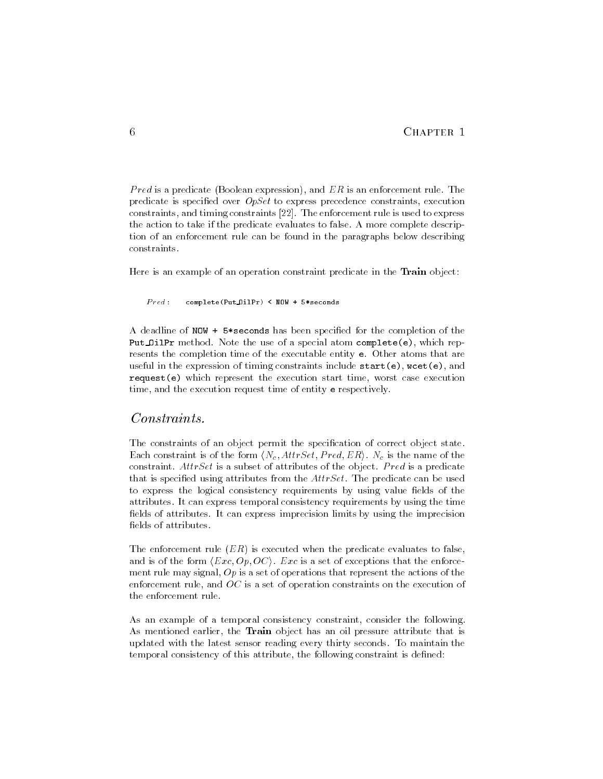*Pred* is a predicate (Boolean expression), and  $ER$  is an enforcement rule. The predicate is specified over  $OpSet$  to express precedence constraints, execution constraints, and timing constraints [22]. The enforcement rule is used to express the action to take if the predicate evaluates to false. A more complete description of an enforcement rule can be found in the paragraphs below describing constraints.

Here is an example of an operation constraint predicate in the Train object:

```
Pred: complete(Put_OilPr) < NOW + 5*seconds
```
A deadline of NOW + 5\*seconds has been specied for the completion of the Put DilPr method. Note the use of a special atom complete(e), which represents the completion time of the executable entity e. Other atoms that are useful in the expression of timing constraints include  $start(e)$ , wcet $(e)$ , and request(e) which represent the execution start time, worst case execution time, and the execution request time of entity e respectively.

#### $Constrains$

The constraints of an object permit the specification of correct object state. Each constraint is of the form  $\langle N_c, AttrSet, Pred, ER \rangle$ . N<sub>c</sub> is the name of the constraint. AttrSet is a subset of attributes of the object.  $Pred$  is a predicate that is specified using attributes from the  $AttrSet$ . The predicate can be used to express the logical consistency requirements by using value fields of the attributes. It can express temporal consistency requirements by using the time fields of attributes. It can express imprecision limits by using the imprecision fields of attributes.

The enforcement rule  $(ER)$  is executed when the predicate evaluates to false, and is of the form  $\langle Exc, Op, OC \rangle$ . Exc is a set of exceptions that the enforcement rule may signal,  $Op$  is a set of operations that represent the actions of the enforcement rule, and  $OC$  is a set of operation constraints on the execution of the enforcement rule.

As an example of a temporal consistency constraint, consider the following. As mentioned earlier, the Train object has an oil pressure attribute that is updated with the latest sensor reading every thirty seconds. To maintain the temporal consistency of this attribute, the following constraint is defined: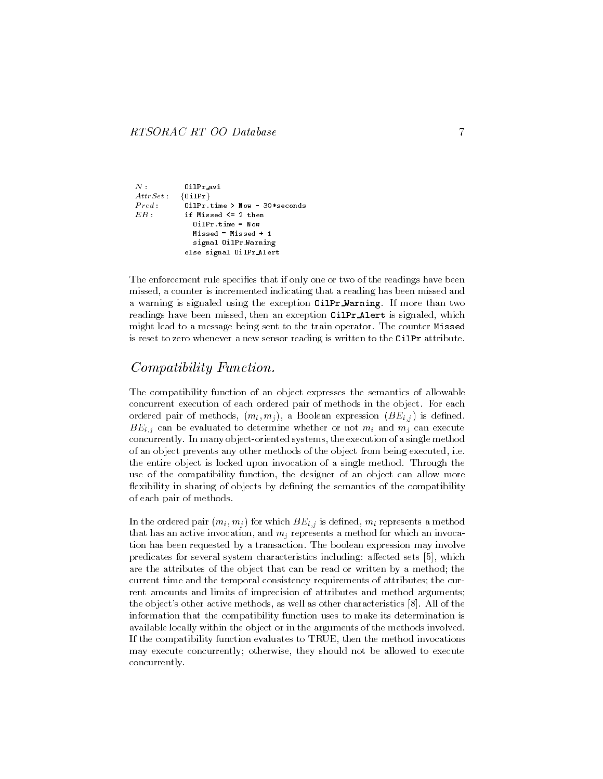$N$  : 0ilPr\_avi  $AttrSet$ : {0ilPr}  $Pred:$  0ilPr.time > Now - 30\*seconds  $EB$ if Missed  $\leq$  2 then Missed = Missed + 1 signal OilPr Warning else signal OilPr Alert

The enforcement rule specifies that if only one or two of the readings have been missed, a counter is incremented indicating that a reading has been missed and a warning is signaled using the exception OilPr Warning. If more than two readings have been missed, then an exception  $OiPr$ **Alert** is signaled, which might lead to a message being sent to the train operator. The counter Missed is reset to zero whenever a new sensor reading is written to the OilPr attribute.

#### Compatibility Function.

The compatibility function of an object expresses the semantics of allowable concurrent execution of each ordered pair of methods in the object. For each ordered pair of methods,  $(m_i, m_j)$ , a Boolean expression  $(BE_{i,j})$  is defined.  $BE_{i,j}$  can be evaluated to determine whether or not  $m_i$  and  $m_j$  can execute concurrently. In many object-oriented systems, the execution of a single method of an object prevents any other methods of the object from being executed, i.e. the entire object is locked upon invocation of a single method. Through the use of the compatibility function, the designer of an object can allow more flexibility in sharing of objects by defining the semantics of the compatibility of each pair of methods.

In the ordered pair  $(m_i, m_j)$  for which  $BE_{i,j}$  is defined,  $m_i$  represents a method that has an active invocation, and  $m_i$  represents a method for which an invocation has been requested by a transaction. The boolean expression may involve predicates for several system characteristics including: affected sets [5], which are the attributes of the object that can be read or written by a method; the current time and the temporal consistency requirements of attributes; the current amounts and limits of imprecision of attributes and method arguments; the object's other active methods, as well as other characteristics [8]. All of the information that the compatibility function uses to make its determination is available locally within the object or in the arguments of the methods involved. If the compatibility function evaluates to TRUE, then the method invocations may execute concurrently; otherwise, they should not be allowed to execute concurrently.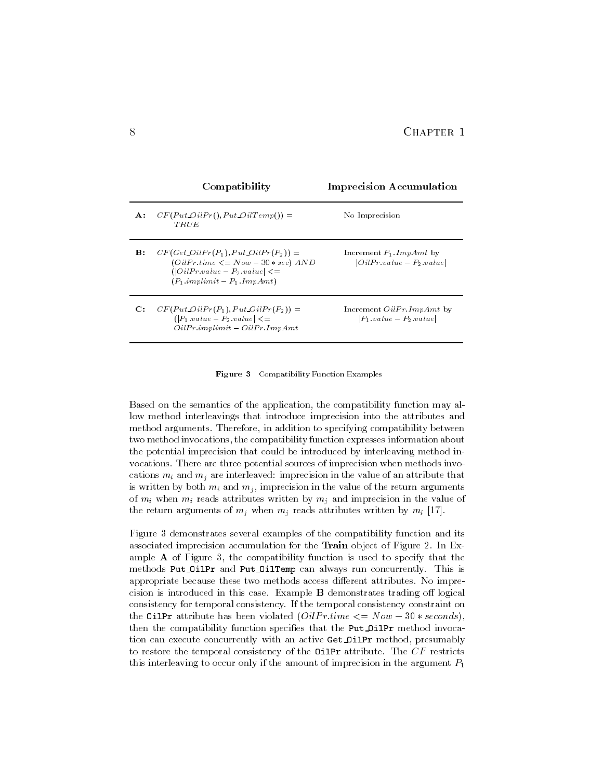|       | Compatibility                                                                                                                                                      | <b>Imprecision Accumulation</b>                            |
|-------|--------------------------------------------------------------------------------------------------------------------------------------------------------------------|------------------------------------------------------------|
| $A$ : | $CF(Put\_OilPr(), Put\_OilTemp()) =$<br>T RIJ E                                                                                                                    | No Imprecision                                             |
| в:    | $CF(Get\_OilPr(P_1), Put\_OilPr(P_2)) =$<br>$(OilPr.time \leq Now - 30*sec)$ AND<br>$( OilPr.value - P_2.value  \leq$<br>$(P_1 \cdot implimit - P_1 \cdot ImpAnt)$ | Increment $P_1$ . ImpAmt by<br>$ OilPr.value - P_2.value $ |
| C:    | $CF(Put\_OilPr(P_1), Put\_OilPr(P_2)) =$<br>$( P_1.value - P_2.value  \leq$<br>$OilPr.implimit - OilPr.ImpAnt$                                                     | Increment $OilPr_{M}$<br>$ P_1 $ value $ P_2$ value        |

Figure 3 Compatibility Function Examples

Based on the semantics of the application, the compatibility function may allow method interleavings that introduce imprecision into the attributes and method arguments. Therefore, in addition to specifying compatibility between two method invocations, the compatibility function expresses information about the potential imprecision that could be introduced by interleaving method invocations. There are three potential sources of imprecision when methods invocations  $m_i$  and  $m_j$  are interleaved: imprecision in the value of an attribute that is written by both  $m_i$  and  $m_j$ , imprecision in the value of the return arguments of  $m_i$  when  $m_i$  reads attributes written by  $m_i$  and imprecision in the value of the return arguments of  $m_i$  when  $m_i$  reads attributes written by  $m_i$  [17].

Figure 3 demonstrates several examples of the compatibility function and its associated imprecision accumulation for the Train object of Figure 2. In Example  $A$  of Figure 3, the compatibility function is used to specify that the methods Put DilPr and Put OilTemp can always run concurrently. This is appropriate because these two methods access different attributes. No imprecision is introduced in this case. Example  $B$  demonstrates trading off logical consistency for temporal consistency. If the temporal consistency constraint on the OilPr attribute has been violated  $(OilPrtime \leq Now - 30 * seconds)$ , then the compatibility function specifies that the Put OilPr method invocation can execute concurrently with an active Get DilPr method, presumably to restore the temporal consistency of the  $O_i Pr$  attribute. The  $CF$  restricts this interleaving to occur only if the amount of imprecision in the argument  $P_1$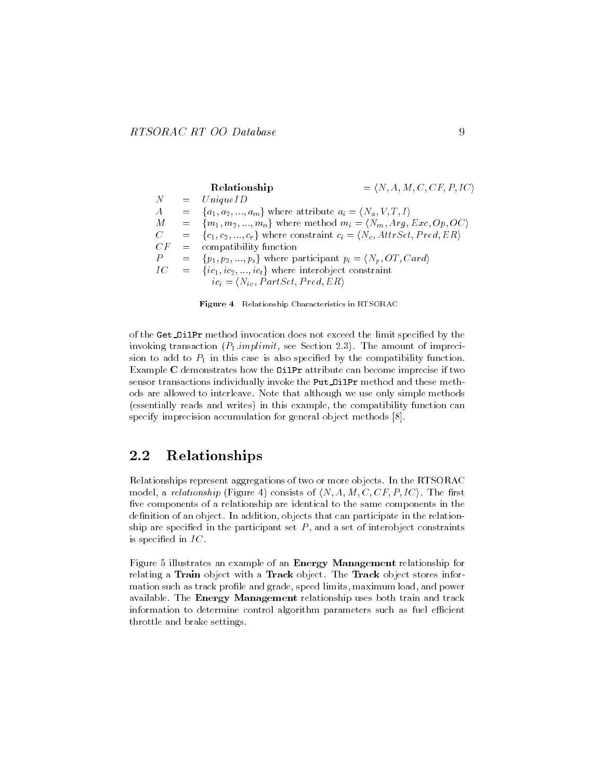|                  | Relationship                                                                            | $= \langle N, A, M, C, CF, P, IC \rangle$ |
|------------------|-----------------------------------------------------------------------------------------|-------------------------------------------|
| N                | $=$ $UniquelD$                                                                          |                                           |
| $\boldsymbol{A}$ | $= \{a_1, a_2, , a_m\}$ where attribute $a_i = \langle N_a, V, T, I \rangle$            |                                           |
| M                | $= \{m_1, m_2, , m_n\}$ where method $m_i = \langle N_m, Arg, Exc, Op, OC \rangle$      |                                           |
| $\,C$            | $= \{c_1, c_2, , c_r\}$ where constraint $c_i = \langle N_c, AttrSet, Pred, ER \rangle$ |                                           |
| CF               | $=$ compatibility function                                                              |                                           |
| P                | $= \{p_1, p_2, , p_s\}$ where participant $p_i = \langle N_p, OT, Card \rangle$         |                                           |
|                  | $IC = \{ic_1, ic_2, , ic_t\}$ where interobject constraint                              |                                           |
|                  | $ic_i = \langle N_{ic}, PartSet, Pred, ER \rangle$                                      |                                           |

Figure 4 Relationship Characteristics in RTSORAC

of the Get OilPr method invocation does not exceed the limit specied by the invoking transaction  $(P_1\text{.implimit}, \text{ see Section 2.3})$ . The amount of imprecision to add to  $P_1$  in this case is also specified by the compatibility function. Example C demonstrates how the OilPr attribute can become imprecise if two sensor transactions individually invoke the Put OilPr method and these methods are allowed to interleave. Note that although we use only simple methods (essentially reads and writes) in this example, the compatibility function can specify imprecision accumulation for general object methods [8].

### 2.2 Relationships

Relationships represent aggregations of two or more objects. In the RTSORAC model, a relationship (Figure 4) consists of  $\langle N, A, M, C, CF, P, IC \rangle$ . The first five components of a relationship are identical to the same components in the definition of an object. In addition, objects that can participate in the relationship are specified in the participant set  $P$ , and a set of interobject constraints is specified in  $IC$ .

Figure 5 illustrates an example of an Energy Management relationship for relating a Train object with a Track object. The Track object stores information such as track prole and grade, speed limits, maximum load, and power available. The Energy Management relationship uses both train and track information to determine control algorithm parameters such as fuel efficient throttle and brake settings.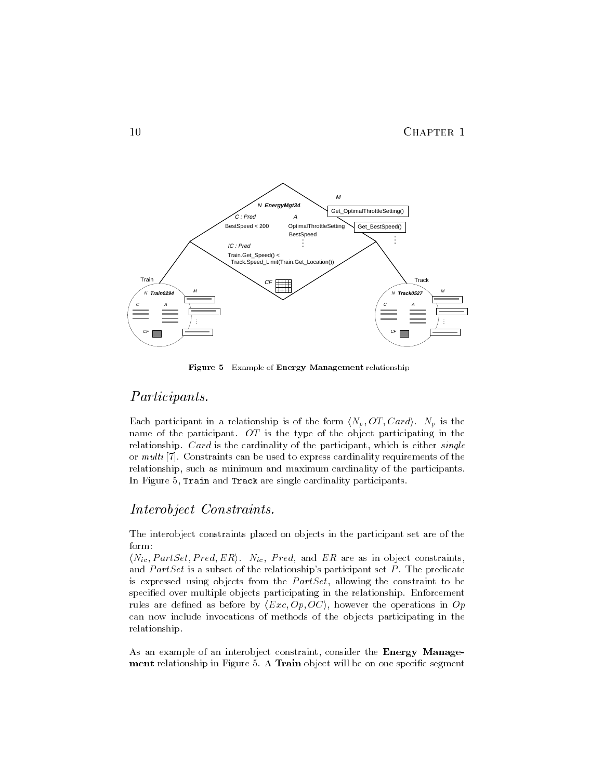

Figure 5 Example of Energy Management relationship

### Participants.

Each participant in a relationship is of the form  $\langle N_p, OT, Card \rangle$ . N<sub>p</sub> is the name of the participant.  $OT$  is the type of the object participating in the relationship. Card is the cardinality of the participant, which is either single or multi [7]. Constraints can be used to express cardinality requirements of the relationship, such as minimum and maximum cardinality of the participants. In Figure 5, Train and Track are single cardinality participants.

#### Interobject Constraints.

The interobject constraints placed on objects in the participant set are of the form:

 $\langle N_{ic}, PartSet, Pred, ER \rangle$ .  $N_{ic}, Pred, and ER$  are as in object constraints, and  $PartSet$  is a subset of the relationship's participant set  $P$ . The predicate is expressed using objects from the  $PartSet$ , allowing the constraint to be specied over multiple objects participating in the relationship. Enforcement rules are defined as before by  $\langle Exc, Op, OC \rangle$ , however the operations in  $Op$ can now include invocations of methods of the objects participating in the relationship.

As an example of an interobject constraint, consider the Energy Manage ment relationship in Figure 5. A Train object will be on one specific segment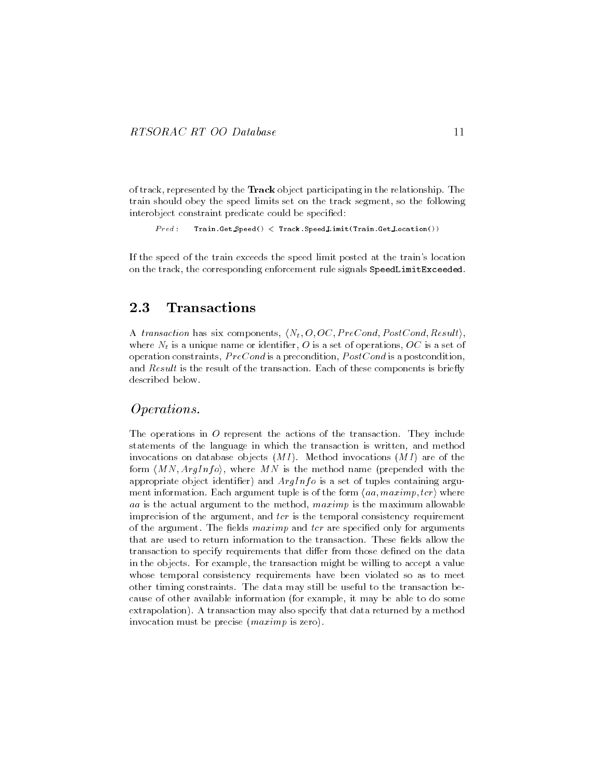of track, represented by the Track object participating in the relationship. The train should obey the speed limits set on the track segment, so the following interobject constraint predicate could be specified:

 $Pred:$  Train.Get Speed()  $\lt$  Track.Speed Limit(Train.Get Location())

If the speed of the train exceeds the speed limit posted at the train's location on the track, the corresponding enforcement rule signals SpeedLimitExceeded.

### 2.3 Transactions

A transaction has six components,  $\langle N_t, O, OC, PreCond, PostCond, Result \rangle$ , where  $N_t$  is a unique name or identifier, O is a set of operations, OC is a set of operation constraints,  $PreCond$  is a precondition,  $PostCond$  is a postcondition, and  $Result$  is the result of the transaction. Each of these components is briefly described below.

#### Operations.

The operations in O represent the actions of the transaction. They include statements of the language in which the transaction is written, and method invocations on database objects  $(M I)$ . Method invocations  $(M I)$  are of the form  $\langle MN, ArgInfo \rangle$ , where MN is the method name (prepended with the appropriate object identifier) and  $ArgInfo$  is a set of tuples containing argument information. Each argument tuple is of the form  $\langle aa, maximum, ter \rangle$  where aa is the actual argument to the method, maximp is the maximum allowable imprecision of the argument, and  $tcr$  is the temporal consistency requirement of the argument. The fields  $maximp$  and  $\bar{t}cr$  are specified only for arguments that are used to return information to the transaction. These fields allow the transaction to specify requirements that differ from those defined on the data in the objects. For example, the transaction might be willing to accept a value whose temporal consistency requirements have been violated so as to meet other timing constraints. The data may still be useful to the transaction because of other available information (for example, it may be able to do some extrapolation). A transaction may also specify that data returned by a method invocation must be precise (maximp is zero).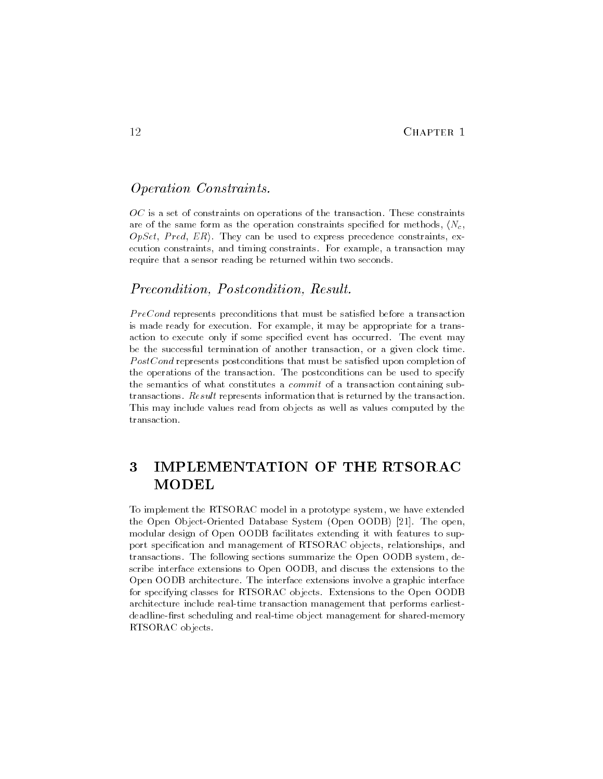#### Operation Constraints.

 $OC$  is a set of constraints on operations of the transaction. These constraints are of the same form as the operation constraints specified for methods,  $\langle N_c, \rangle$  $OpSet, Pred, ER$ . They can be used to express precedence constraints, execution constraints, and timing constraints. For example, a transaction may require that a sensor reading be returned within two seconds.

#### Precondition, Postcondition, Result.

 $PreCond$  represents preconditions that must be satisfied before a transaction is made ready for execution. For example, it may be appropriate for a transaction to execute only if some specified event has occurred. The event may be the successful termination of another transaction, or a given clock time.  $PostCond$  represents postconditions that must be satisfied upon completion of the operations of the transaction. The postconditions can be used to specify the semantics of what constitutes a commit of a transaction containing subtransactions. Result represents information that is returned by the transaction. This may include values read from objects as well as values computed by the transaction.

### 3 IMPLEMENTATION OF THE RTSORAC **MODEL**

To implement the RTSORAC model in a prototype system, we have extended the Open Object-Oriented Database System (Open OODB) [21]. The open, modular design of Open OODB facilitates extending it with features to support specication and management of RTSORAC objects, relationships, and transactions. The following sections summarize the Open OODB system, describe interface extensions to Open OODB, and discuss the extensions to the Open OODB architecture. The interface extensions involve a graphic interface for specifying classes for RTSORAC objects. Extensions to the Open OODB architecture include real-time transaction management that performs earliestdeadline-first scheduling and real-time object management for shared-memory RTSORAC objects.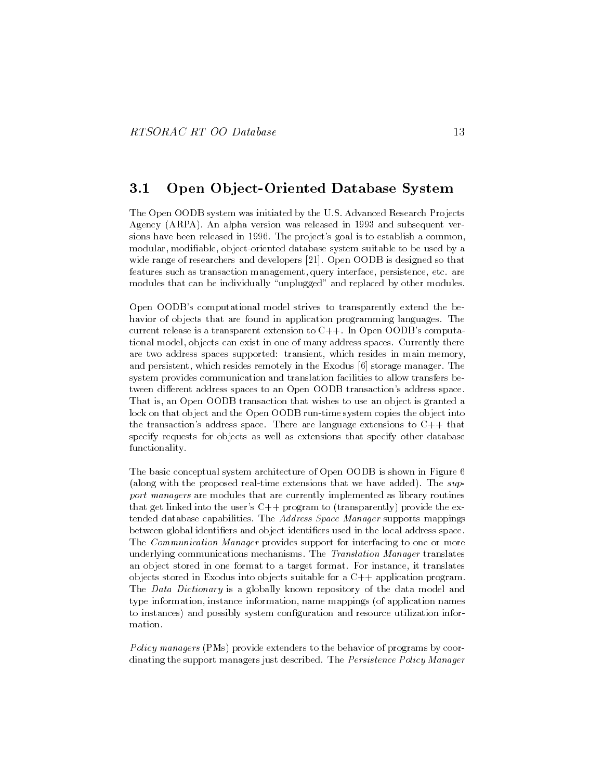#### 3.1 Open Ob ject-Oriented Database System  $3.1$

The Open OODB system was initiated by the U.S. Advanced Research Projects Agency (ARPA). An alpha version was released in 1993 and subsequent versions have been released in 1996. The project's goal is to establish a common, modular, modiable, object-oriented database system suitable to be used by a wide range of researchers and developers [21]. Open OODB is designed so that features such as transaction management, query interface, persistence, etc. are modules that can be individually "unplugged" and replaced by other modules.

Open OODB's computational model strives to transparently extend the behavior of objects that are found in application programming languages. The current release is a transparent extension to C++. In Open OODB's computational model, objects can exist in one of many address spaces. Currently there are two address spaces supported: transient, which resides in main memory, and persistent, which resides remotely in the Exodus [6] storage manager. The system provides communication and translation facilities to allow transfers between different address spaces to an Open OODB transaction's address space. That is, an Open OODB transaction that wishes to use an object is granted a lock on that object and the Open OODB run-time system copies the object into the transaction's address space. There are language extensions to  $C_{++}$  that specify requests for objects as well as extensions that specify other database functionality.

The basic conceptual system architecture of Open OODB is shown in Figure 6 (along with the proposed real-time extensions that we have added). The support managers are modules that are currently implemented as library routines that get linked into the user's  $C++$  program to (transparently) provide the extended database capabilities. The Address Space Manager supports mappings between global identifiers and object identifiers used in the local address space. The Communication Manager provides support for interfacing to one or more underlying communications mechanisms. The *Translation Manager* translates an object stored in one format to a target format. For instance, it translates objects stored in Exodus into objects suitable for a C++ application program. The Data Dictionary is a globally known repository of the data model and type information, instance information, name mappings (of application names to instances) and possibly system conguration and resource utilization information.

Policy managers (PMs) provide extenders to the behavior of programs by coordinating the support managers just described. The Persistence Policy Manager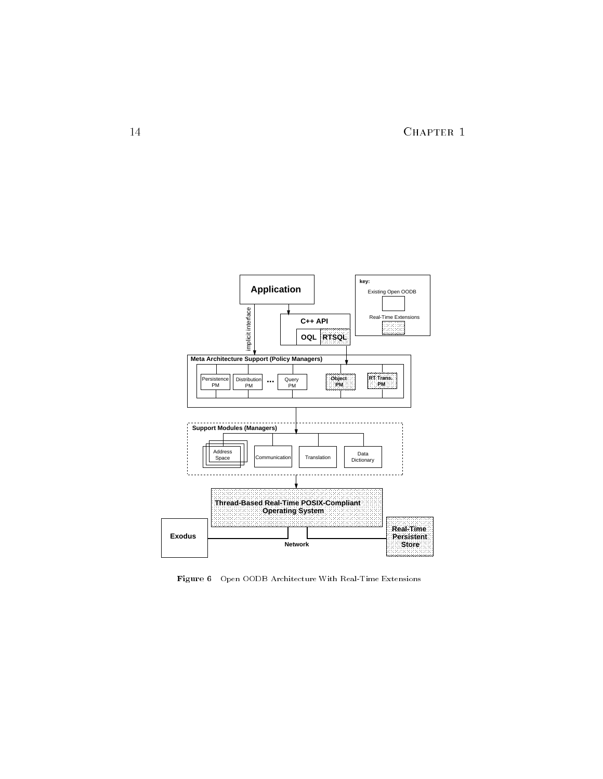![](_page_13_Figure_1.jpeg)

Figure 6 Open OODB Architecture With Real-Time Extensions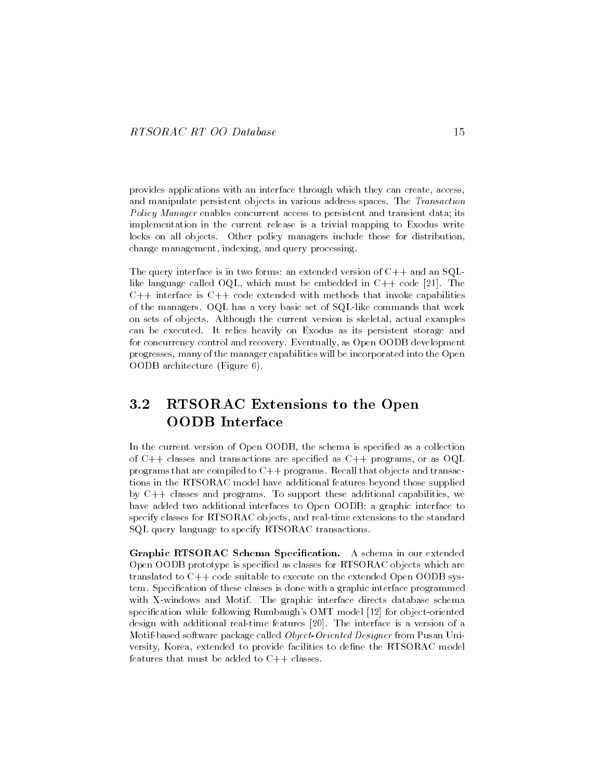provides applications with an interface through which they can create, access, and manipulate persistent objects in various address spaces. The Transaction Policy Manager enables concurrent access to persistent and transient data; its implementation in the current release is a trivial mapping to Exodus write locks on all objects. Other policy managers include those for distribution, change management, indexing, and query processing.

The query interface is in two forms: an extended version of C++ and an SQLlike language called  $OQL$ , which must be embedded in  $C++$  code [21]. The  $C++$  interface is  $C++$  code extended with methods that invoke capabilities of the managers. OQL has a very basic set of SQL-like commands that work on sets of objects. Although the current version is skeletal, actual examples can be executed. It relies heavily on Exodus as its persistent storage and for concurrency control and recovery. Eventually, as Open OODB development progresses, many of the manager capabilities will be incorporated into the Open OODB architecture (Figure 6).

## 3.2 RTSORAC Extensions to the Open OODB Interface

In the current version of Open OODB, the schema is specified as a collection of C++ classes and transactions are specied as C++ programs, or as OQL programs that are compiled to  $C++$  programs. Recall that objects and transactions in the RTSORAC model have additional features beyond those supplied by C++ classes and programs. To support these additional capabilities, we have added two additional interfaces to Open OODB: a graphic interface to specify classes for RTSORAC objects, and real-time extensions to the standard SQL query language to specify RTSORAC transactions.

Graphic RTSORAC Schema Specification. A schema in our extended Open OODB prototype is specified as classes for RTSORAC objects which are translated to  $C++$  code suitable to execute on the extended Open OODB system. Specication of these classes is done with a graphic interface programmed with X-windows and Motif. The graphic interface directs database schema specication while following Rumbaugh's OMT model [12] for object-oriented design with additional real-time features [20]. The interface is a version of a Motif-based software package called Object-Oriented Designer from Pusan University, Korea, extended to provide facilities to define the RTSORAC model features that must be added to  $C++$  classes.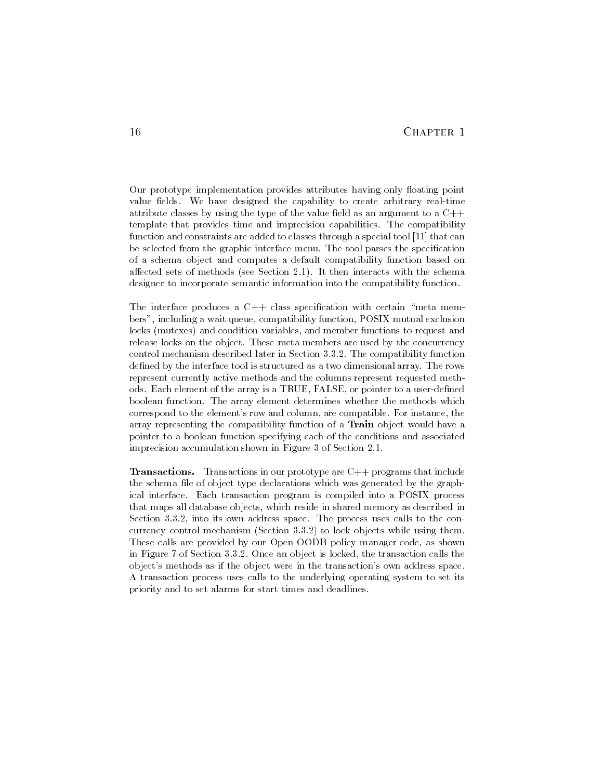Our prototype implementation provides attributes having only floating point value fields. We have designed the capability to create arbitrary real-time attribute classes by using the type of the value field as an argument to a  $C_{++}$ template that provides time and imprecision capabilities. The compatibility function and constraints are added to classes through a special tool [11] that can be selected from the graphic interface menu. The tool parses the specification of a schema object and computes a default compatibility function based on affected sets of methods (see Section 2.1). It then interacts with the schema designer to incorporate semantic information into the compatibility function.

The interface produces a C++ class specification with certain "meta members", including a wait queue, compatibility function, POSIX mutual exclusion locks (mutexes) and condition variables, and member functions to request and release locks on the object. These meta members are used by the concurrency control mechanism described later in Section 3.3.2. The compatibility function defined by the interface tool is structured as a two dimensional array. The rows represent currently active methods and the columns represent requested methods. Each element of the array is a TRUE, FALSE, or pointer to a user-defined boolean function. The array element determines whether the methods which correspond to the element's row and column, are compatible. For instance, the array representing the compatibility function of a Train object would have a pointer to a boolean function specifying each of the conditions and associated imprecision accumulation shown in Figure 3 of Section 2.1.

**Transactions.** Transactions in our prototype are  $C++$  programs that include the schema file of object type declarations which was generated by the graphical interface. Each transaction program is compiled into a POSIX process that maps all database objects, which reside in shared memory as described in Section 3.3.2, into its own address space. The process uses calls to the concurrency control mechanism (Section 3.3.2) to lock objects while using them. These calls are provided by our Open OODB policy manager code, as shown in Figure 7 of Section 3.3.2. Once an object is locked, the transaction calls the object's methods as if the object were in the transaction's own address space. A transaction process uses calls to the underlying operating system to set its priority and to set alarms for start times and deadlines.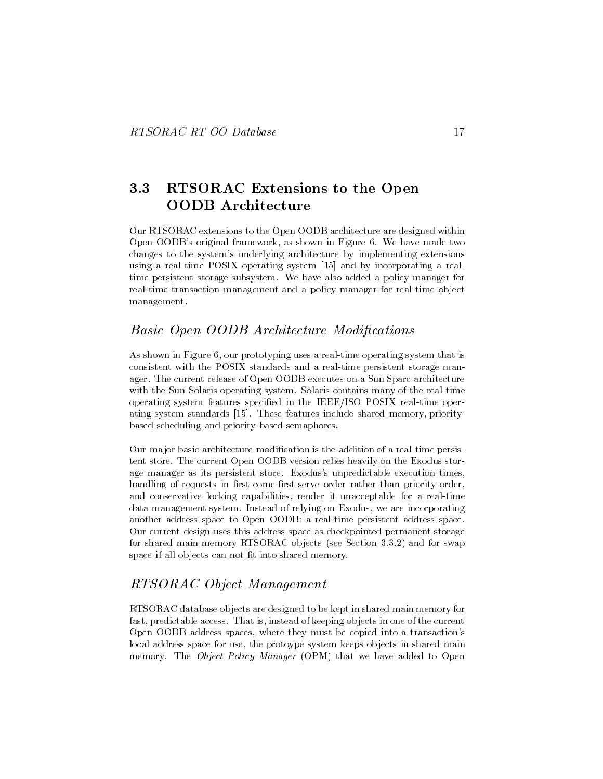#### 3.3 RTSORAC Extensions to the Open  $3.3$ OODB Architecture

Our RTSORAC extensions to the Open OODB architecture are designed within Open OODB's original framework, as shown in Figure 6. We have made two changes to the system's underlying architecture by implementing extensions using a real-time POSIX operating system [15] and by incorporating a realtime persistent storage subsystem. We have also added a policy manager for real-time transaction management and a policy manager for real-time object management.

#### Basic Open OODB Architecture Modifications

As shown in Figure 6, our prototyping uses a real-time operating system that is consistent with the POSIX standards and a real-time persistent storage manager. The current release of Open OODB executes on a Sun Sparc architecture with the Sun Solaris operating system. Solaris contains many of the real-time operating system features specied in the IEEE/ISO POSIX real-time operating system standards [15]. These features include shared memory, prioritybased scheduling and priority-based semaphores.

Our major basic architecture modication is the addition of a real-time persistent store. The current Open OODB version relies heavily on the Exodus storage manager as its persistent store. Exodus's unpredictable execution times, handling of requests in first-come-first-serve order rather than priority order, and conservative locking capabilities, render it unacceptable for a real-time data management system. Instead of relying on Exodus, we are incorporating another address space to Open OODB: a real-time persistent address space. Our current design uses this address space as checkpointed permanent storage for shared main memory RTSORAC objects (see Section 3.3.2) and for swap space if all objects can not fit into shared memory.

#### RTSORAC Object Management

RTSORAC database objects are designed to be kept in shared main memory for fast, predictable access. That is, instead of keeping objects in one of the current Open OODB address spaces, where they must be copied into a transaction's local address space for use, the protoype system keeps objects in shared main memory. The *Object Policy Manager* (OPM) that we have added to Open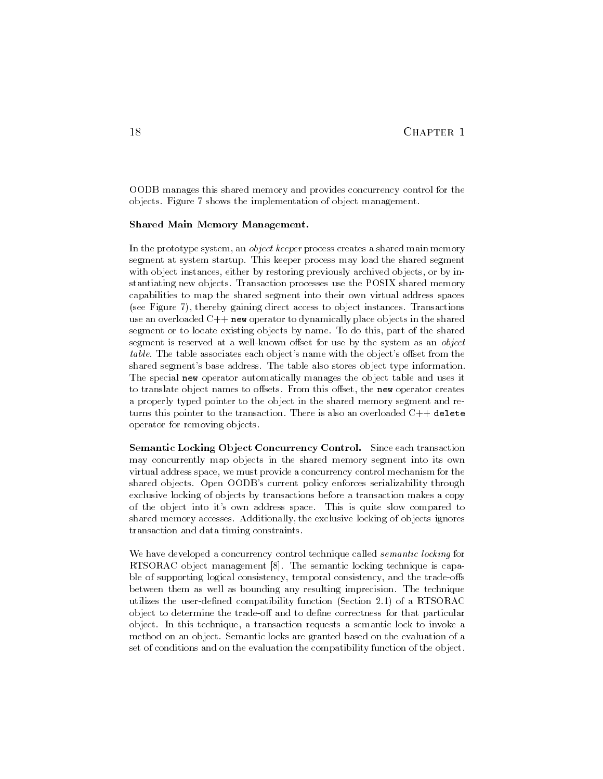OODB manages this shared memory and provides concurrency control for the objects. Figure 7 shows the implementation of object management.

#### Shared Main Memory Management.

In the prototype system, an object keeper process creates a shared main memory segment at system startup. This keeper process may load the shared segment with object instances, either by restoring previously archived objects, or by instantiating new objects. Transaction processes use the POSIX shared memory capabilities to map the shared segment into their own virtual address spaces (see Figure 7), thereby gaining direct access to object instances. Transactions use an overloaded  $C++$  new operator to dynamically place objects in the shared segment or to locate existing objects by name. To do this, part of the shared segment is reserved at a well-known offset for use by the system as an *object* table. The table associates each object's name with the object's offset from the shared segment's base address. The table also stores object type information. The special new operator automatically manages the object table and uses it to translate object names to offsets. From this offset, the new operator creates a properly typed pointer to the object in the shared memory segment and returns this pointer to the transaction. There is also an overloaded  $C++$  delete operator for removing objects.

Semantic Locking Object Concurrency Control. Since each transaction may concurrently map objects in the shared memory segment into its own virtual address space, we must provide a concurrency control mechanism for the shared objects. Open OODB's current policy enforces serializability through exclusive locking of objects by transactions before a transaction makes a copy of the object into it's own address space. This is quite slow compared to shared memory accesses. Additionally, the exclusive locking of objects ignores transaction and data timing constraints.

We have developed a concurrency control technique called semantic locking for RTSORAC object management [8]. The semantic locking technique is capable of supporting logical consistency, temporal consistency, and the trade-offs between them as well as bounding any resulting imprecision. The technique utilizes the user-defined compatibility function (Section 2.1) of a RTSORAC object to determine the trade-off and to define correctness for that particular object. In this technique, a transaction requests a semantic lock to invoke a method on an object. Semantic locks are granted based on the evaluation of a set of conditions and on the evaluation the compatibility function of the object.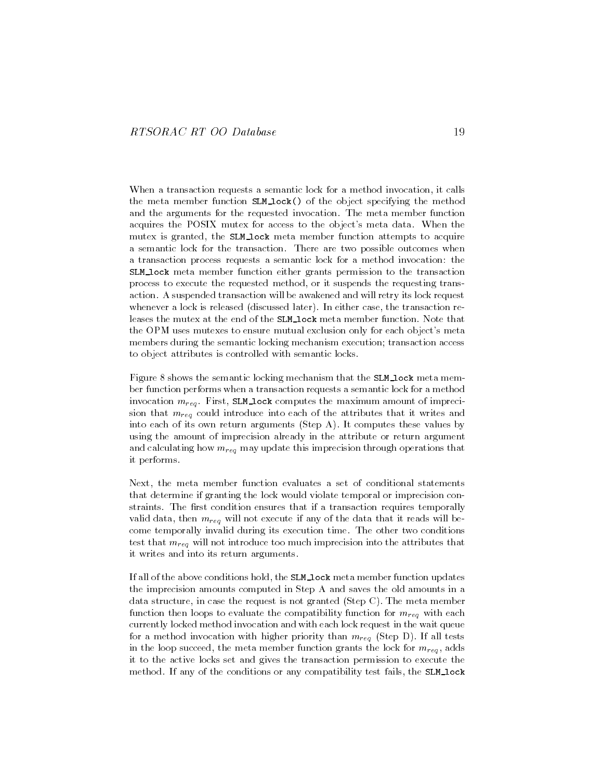When a transaction requests a semantic lock for a method invocation, it calls the meta member function SLM lock() of the object specifying the method and the arguments for the requested invocation. The meta member function acquires the POSIX mutex for access to the object's meta data. When the mutex is granted, the SLM lock meta member function attempts to acquire a semantic lock for the transaction. There are two possible outcomes when a transaction process requests a semantic lock for a method invocation: the SLM lock meta member function either grants permission to the transaction process to execute the requested method, or it suspends the requesting transaction. A suspended transaction will be awakened and will retry its lock request whenever a lock is released (discussed later). In either case, the transaction releases the mutex at the end of the **SLM** lock meta member function. Note that the OPM uses mutexes to ensure mutual exclusion only for each object's meta members during the semantic locking mechanism execution; transaction access to object attributes is controlled with semantic locks.

Figure 8 shows the semantic locking mechanism that the SLM lock meta member function performs when a transaction requests a semantic lock for a method invocation  $m_{reg}$ . First, SLM lock computes the maximum amount of imprecision that  $m_{reg}$  could introduce into each of the attributes that it writes and into each of its own return arguments (Step A). It computes these values by using the amount of imprecision already in the attribute or return argument and calculating how  $m_{reg}$  may update this imprecision through operations that it performs.

Next, the meta member function evaluates a set of conditional statements that determine if granting the lock would violate temporal or imprecision constraints. The first condition ensures that if a transaction requires temporally valid data, then  $m_{reg}$  will not execute if any of the data that it reads will become temporally invalid during its execution time. The other two conditions test that  $m_{reg}$  will not introduce too much imprecision into the attributes that it writes and into its return arguments.

If all of the above conditions hold, the SLM lock meta member function updates the imprecision amounts computed in Step A and saves the old amounts in a data structure, in case the request is not granted (Step C). The meta member function then loops to evaluate the compatibility function for  $m_{reg}$  with each currently locked method invocation and with each lock request in the wait queue for a method invocation with higher priority than  $m_{reg}$  (Step D). If all tests in the loop succeed, the meta member function grants the lock for  $m_{req}$ , adds it to the active locks set and gives the transaction permission to execute the method. If any of the conditions or any compatibility test fails, the **SLM** lock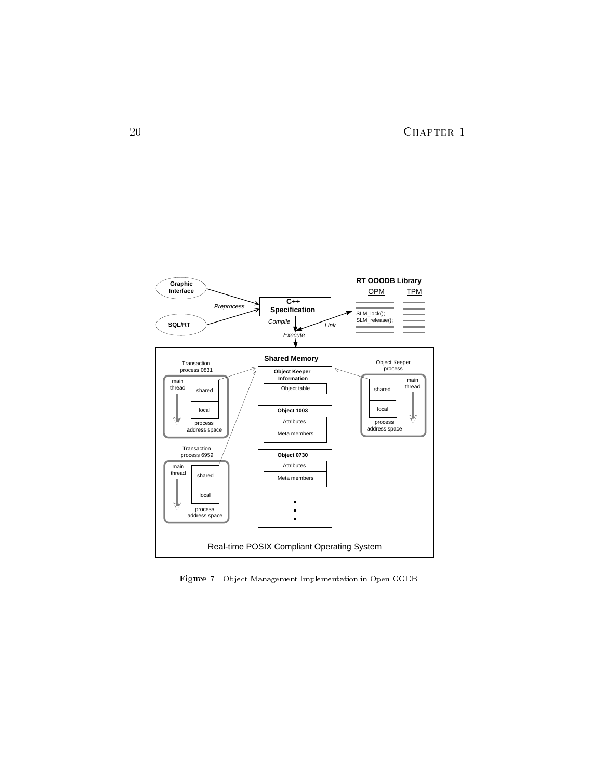![](_page_19_Figure_1.jpeg)

Figure 7 Object Management Implementation in Open OODB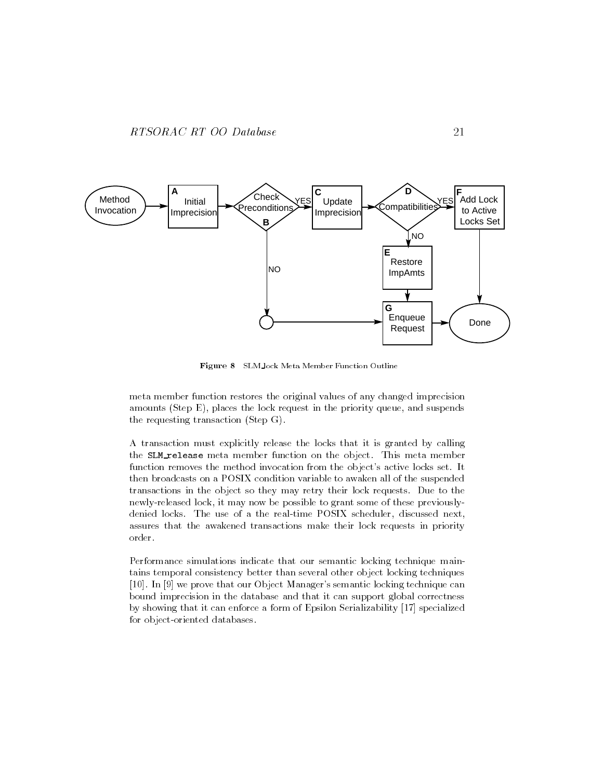![](_page_20_Figure_1.jpeg)

Figure 8 SLM lock Meta Member Function Outline

meta member function restores the original values of any changed imprecision amounts (Step E), places the lock request in the priority queue, and suspends the requesting transaction (Step G).

A transaction must explicitly release the locks that it is granted by calling the SLM\_release meta member function on the object. This meta member function removes the method invocation from the object's active locks set. It then broadcasts on a POSIX condition variable to awaken all of the suspended transactions in the object so they may retry their lock requests. Due to the newly-released lock, it may now be possible to grant some of these previouslydenied locks. The use of a the real-time POSIX scheduler, discussed next, assures that the awakened transactions make their lock requests in priority

Performance simulations indicate that our semantic locking technique maintains temporal consistency better than several other object locking techniques [10]. In [9] we prove that our Object Manager's semantic locking technique can bound imprecision in the database and that it can support global correctness by showing that it can enforce a form of Epsilon Serializability [17] specialized for object-oriented databases.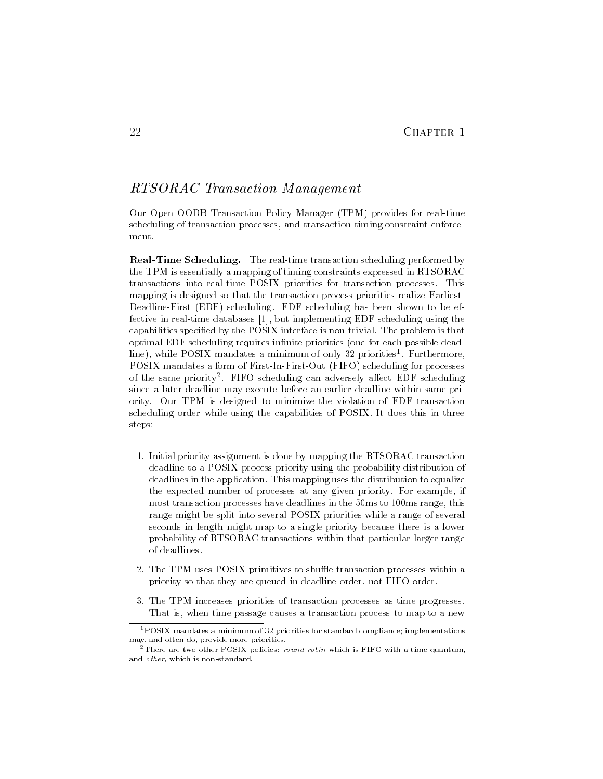#### RTSORAC Transaction Management

Our Open OODB Transaction Policy Manager (TPM) provides for real-time scheduling of transaction processes, and transaction timing constraint enforce-

Real-Time Scheduling. The real-time transaction scheduling performed by the TPM is essentially a mapping of timing constraints expressed in RTSORAC transactions into real-time POSIX priorities for transaction processes. This mapping is designed so that the transaction process priorities realize Earliest-Deadline-First (EDF) scheduling. EDF scheduling has been shown to be effective in real-time databases [1], but implementing EDF scheduling using the capabilities specied by the POSIX interface is non-trivial. The problem is that optimal EDF scheduling requires infinite priorities (one for each possible dead- $\min$ , while  $\mathtt{r}$   $\mathtt{OSLA}$  mandates a minimum of only 32 priorities . Furthermore, POSIX mandates a form of First-In-First-Out (FIFO) scheduling for processes of the same priority". Fift scheduling can adversely allect EDF scheduling since a later deadline may execute before an earlier deadline within same priority. Our TPM is designed to minimize the violation of EDF transaction scheduling order while using the capabilities of POSIX. It does this in three steps:

- 1. Initial priority assignment is done by mapping the RTSORAC transaction deadline to a POSIX process priority using the probability distribution of deadlines in the application. This mapping uses the distribution to equalize the expected number of processes at any given priority. For example, if most transaction processes have deadlines in the 50ms to 100ms range, this range might be split into several POSIX priorities while a range of several seconds in length might map to a single priority because there is a lower probability of RTSORAC transactions within that particular larger range of deadlines.
- 2. The TPM uses POSIX primitives to shuffle transaction processes within a priority so that they are queued in deadline order, not FIFO order.
- 3. The TPM increases priorities of transaction processes as time progresses. That is, when time passage causes a transaction process to map to a new

<sup>1</sup>POSIX mandates a minimum of 32 priorities for standard compliance; implementations may, and often do, provide more priorities.

<sup>&</sup>lt;sup>2</sup>There are two other POSIX policies: round robin which is FIFO with a time quantum, and other, which is non-standard.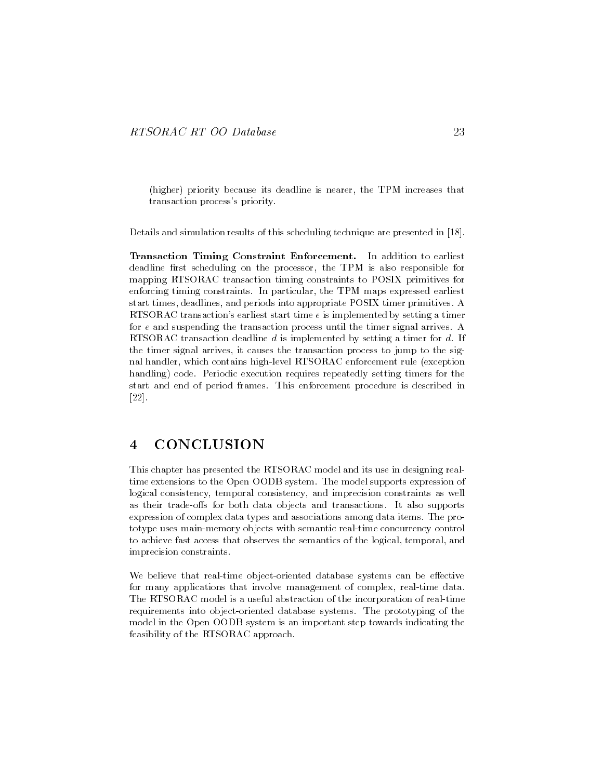(higher) priority because its deadline is nearer, the TPM increases that transaction process's priority.

Details and simulation results of this scheduling technique are presented in [18].

Transaction Timing Constraint Enforcement. In addition to earliest deadline first scheduling on the processor, the TPM is also responsible for mapping RTSORAC transaction timing constraints to POSIX primitives for enforcing timing constraints. In particular, the TPM maps expressed earliest start times, deadlines, and periods into appropriate POSIX timer primitives. A RTSORAC transaction's earliest start time  $e$  is implemented by setting a timer for  $e$  and suspending the transaction process until the timer signal arrives. A RTSORAC transaction deadline  $d$  is implemented by setting a timer for  $d$ . If the timer signal arrives, it causes the transaction process to jump to the signal handler, which contains high-level RTSORAC enforcement rule (exception handling) code. Periodic execution requires repeatedly setting timers for the start and end of period frames. This enforcement procedure is described in [22].

#### **CONCLUSION**  $\overline{4}$

This chapter has presented the RTSORAC model and its use in designing realtime extensions to the Open OODB system. The model supports expression of logical consistency, temporal consistency, and imprecision constraints as well as their trade-offs for both data objects and transactions. It also supports expression of complex data types and associations among data items. The prototype uses main-memory objects with semantic real-time concurrency control to achieve fast access that observes the semantics of the logical, temporal, and imprecision constraints.

We believe that real-time object-oriented database systems can be effective for many applications that involve management of complex, real-time data. The RTSORAC model is a useful abstraction of the incorporation of real-time requirements into object-oriented database systems. The prototyping of the model in the Open OODB system is an important step towards indicating the feasibility of the RTSORAC approach.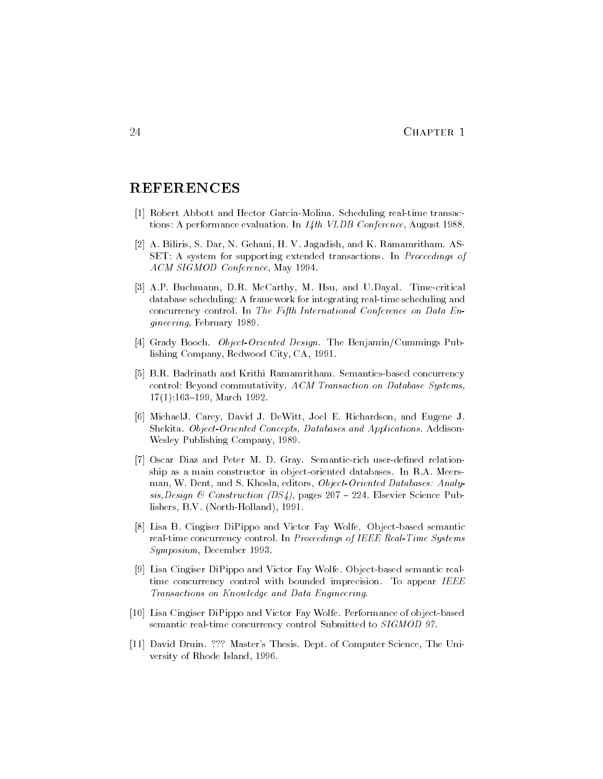#### REFERENCES

- [1] Robert Abbott and Hector Garcia-Molina. Scheduling real-time transactions: A performance evaluation. In 14th VLDB Conference, August 1988.
- [2] A. Biliris, S. Dar, N. Gehani, H. V. Jagadish, and K. Ramamritham. AS-SET: A system for supporting extended transactions. In *Proceedings of* ACM SIGMOD Conference, May 1994.
- [3] A.P. Buchmann, D.R. McCarthy, M. Hsu, and U.Dayal. Time-critical database scheduling: A framework for integrating real-time scheduling and concurrency control. In The Fifth International Conference on Data Engineering, February 1989.
- [4] Grady Booch. Object-Oriented Design. The Benjamin/Cummings Publishing Company, Redwood City, CA, 1991.
- [5] B.R. Badrinath and Krithi Ramamritham. Semantics-based concurrency control: Beyond commutativity. ACM Transaction on Database Systems,  $17(1):163{-}199$ , March 1992.
- [6] MichaelJ. Carey, David J. DeWitt, Joel E. Richardson, and Eugene J. Shekita. Object-Oriented Concepts, Databases and Applications. Addison-Wesley Publishing Company, 1989.
- [7] Oscar Diaz and Peter M. D. Gray. Semantic-rich user-defined relationship as a main constructor in object-oriented databases. In R.A. Meersman, W. Dent, and S. Khosla, editors, Object-Oriented Databases: Analysis, Design & Construction  $(DS4)$ , pages 207 – 224. Elsevier Science Publishers, B.V. (North-Holland), 1991.
- [8] Lisa B. Cingiser DiPippo and Victor Fay Wolfe. Object-based semantic real-time concurrency control. In Proceedings of IEEE Real-Time Systems Symposium, December 1993.
- [9] Lisa Cingiser DiPippo and Victor Fay Wolfe. Object-based semantic realtime concurrency control with bounded imprecision. To appear IEEE Transactions on Knowledge and Data Engineering.
- [10] Lisa Cingiser DiPippo and Victor Fay Wolfe. Performance of object-based semantic real-time concurrency control Submitted to SIGMOD 97.
- [11] David Druin. ??? Master's Thesis. Dept. of Computer Science, The University of Rhode Island, 1996.